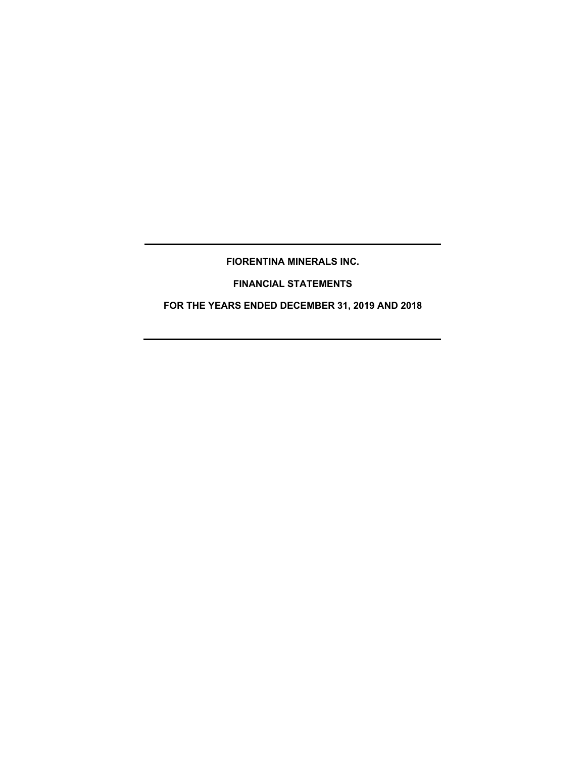# **FIORENTINA MINERALS INC.**

# **FINANCIAL STATEMENTS**

# **FOR THE YEARS ENDED DECEMBER 31, 2019 AND 2018**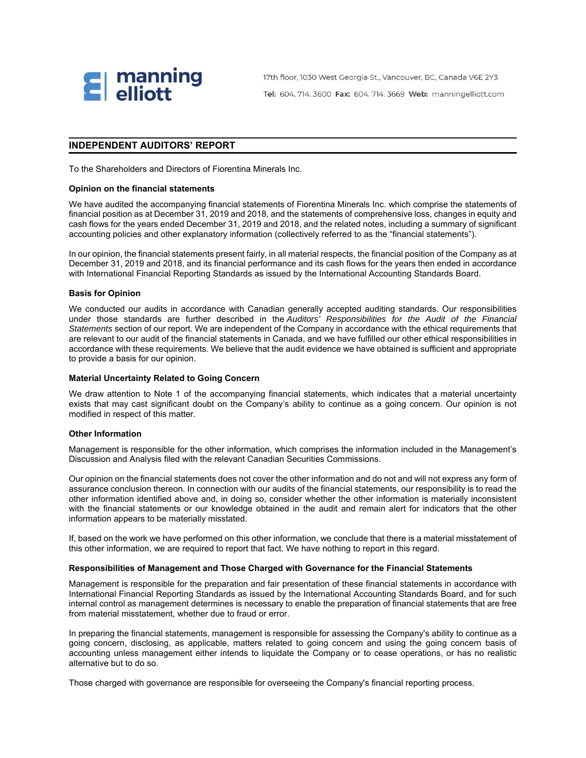

17th floor, 1030 West Georgia St., Vancouver, BC, Canada V6E 2Y3 Tel: 604. 714. 3600 Fax: 604. 714. 3669 Web: manningelliott.com

#### **INDEPENDENT AUDITORS' REPORT**

To the Shareholders and Directors of Fiorentina Minerals Inc.

#### **Opinion on the financial statements**

We have audited the accompanying financial statements of Fiorentina Minerals Inc. which comprise the statements of financial position as at December 31, 2019 and 2018, and the statements of comprehensive loss, changes in equity and cash flows for the years ended December 31, 2019 and 2018, and the related notes, including a summary of significant accounting policies and other explanatory information (collectively referred to as the "financial statements").

In our opinion, the financial statements present fairly, in all material respects, the financial position of the Company as at December 31, 2019 and 2018, and its financial performance and its cash flows for the years then ended in accordance with International Financial Reporting Standards as issued by the International Accounting Standards Board.

#### **Basis for Opinion**

We conducted our audits in accordance with Canadian generally accepted auditing standards. Our responsibilities under those standards are further described in the *Auditors' Responsibilities for the Audit of the Financial Statements* section of our report. We are independent of the Company in accordance with the ethical requirements that are relevant to our audit of the financial statements in Canada, and we have fulfilled our other ethical responsibilities in accordance with these requirements. We believe that the audit evidence we have obtained is sufficient and appropriate to provide a basis for our opinion.

#### **Material Uncertainty Related to Going Concern**

We draw attention to Note 1 of the accompanying financial statements, which indicates that a material uncertainty exists that may cast significant doubt on the Company's ability to continue as a going concern. Our opinion is not modified in respect of this matter.

#### **Other Information**

Management is responsible for the other information, which comprises the information included in the Management's Discussion and Analysis filed with the relevant Canadian Securities Commissions.

Our opinion on the financial statements does not cover the other information and do not and will not express any form of assurance conclusion thereon. In connection with our audits of the financial statements, our responsibility is to read the other information identified above and, in doing so, consider whether the other information is materially inconsistent with the financial statements or our knowledge obtained in the audit and remain alert for indicators that the other information appears to be materially misstated.

If, based on the work we have performed on this other information, we conclude that there is a material misstatement of this other information, we are required to report that fact. We have nothing to report in this regard.

#### **Responsibilities of Management and Those Charged with Governance for the Financial Statements**

Management is responsible for the preparation and fair presentation of these financial statements in accordance with International Financial Reporting Standards as issued by the International Accounting Standards Board, and for such internal control as management determines is necessary to enable the preparation of financial statements that are free from material misstatement, whether due to fraud or error.

In preparing the financial statements, management is responsible for assessing the Company's ability to continue as a going concern, disclosing, as applicable, matters related to going concern and using the going concern basis of accounting unless management either intends to liquidate the Company or to cease operations, or has no realistic alternative but to do so.

Those charged with governance are responsible for overseeing the Company's financial reporting process.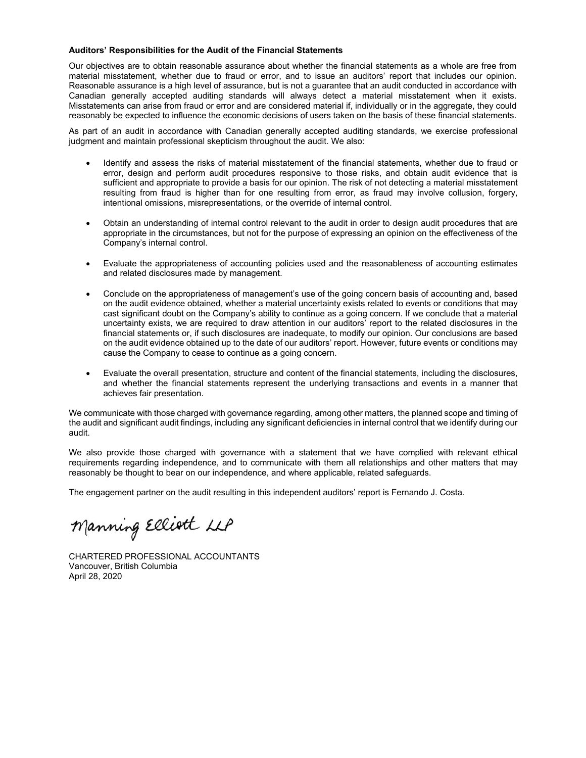#### **Auditors' Responsibilities for the Audit of the Financial Statements**

Our objectives are to obtain reasonable assurance about whether the financial statements as a whole are free from material misstatement, whether due to fraud or error, and to issue an auditors' report that includes our opinion. Reasonable assurance is a high level of assurance, but is not a guarantee that an audit conducted in accordance with Canadian generally accepted auditing standards will always detect a material misstatement when it exists. Misstatements can arise from fraud or error and are considered material if, individually or in the aggregate, they could reasonably be expected to influence the economic decisions of users taken on the basis of these financial statements.

As part of an audit in accordance with Canadian generally accepted auditing standards, we exercise professional judgment and maintain professional skepticism throughout the audit. We also:

- Identify and assess the risks of material misstatement of the financial statements, whether due to fraud or error, design and perform audit procedures responsive to those risks, and obtain audit evidence that is sufficient and appropriate to provide a basis for our opinion. The risk of not detecting a material misstatement resulting from fraud is higher than for one resulting from error, as fraud may involve collusion, forgery, intentional omissions, misrepresentations, or the override of internal control.
- Obtain an understanding of internal control relevant to the audit in order to design audit procedures that are appropriate in the circumstances, but not for the purpose of expressing an opinion on the effectiveness of the Company's internal control.
- Evaluate the appropriateness of accounting policies used and the reasonableness of accounting estimates and related disclosures made by management.
- Conclude on the appropriateness of management's use of the going concern basis of accounting and, based on the audit evidence obtained, whether a material uncertainty exists related to events or conditions that may cast significant doubt on the Company's ability to continue as a going concern. If we conclude that a material uncertainty exists, we are required to draw attention in our auditors' report to the related disclosures in the financial statements or, if such disclosures are inadequate, to modify our opinion. Our conclusions are based on the audit evidence obtained up to the date of our auditors' report. However, future events or conditions may cause the Company to cease to continue as a going concern.
- Evaluate the overall presentation, structure and content of the financial statements, including the disclosures, and whether the financial statements represent the underlying transactions and events in a manner that achieves fair presentation.

We communicate with those charged with governance regarding, among other matters, the planned scope and timing of the audit and significant audit findings, including any significant deficiencies in internal control that we identify during our audit.

We also provide those charged with governance with a statement that we have complied with relevant ethical requirements regarding independence, and to communicate with them all relationships and other matters that may reasonably be thought to bear on our independence, and where applicable, related safeguards.

The engagement partner on the audit resulting in this independent auditors' report is Fernando J. Costa.

Manning Elliott LLP

CHARTERED PROFESSIONAL ACCOUNTANTS Vancouver, British Columbia April 28, 2020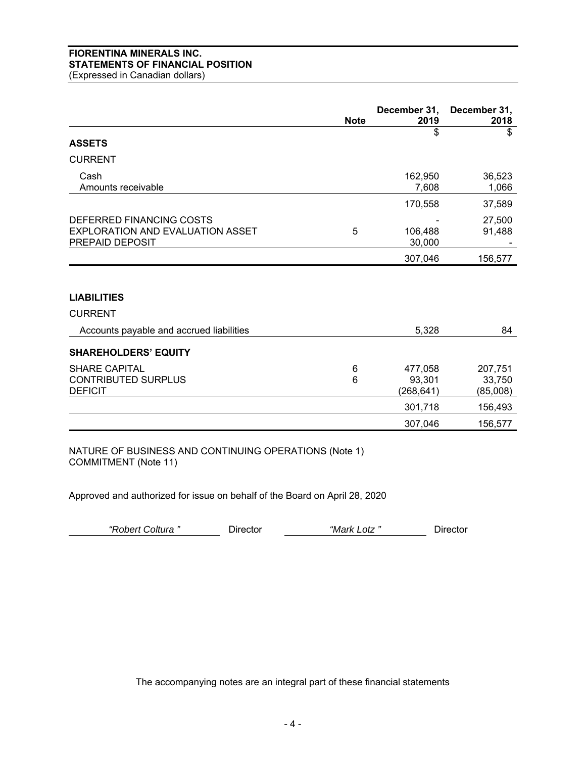# **FIORENTINA MINERALS INC. STATEMENTS OF FINANCIAL POSITION**

(Expressed in Canadian dollars)

|                                                                                        | <b>Note</b> | December 31,<br>2019            | December 31,<br>2018          |
|----------------------------------------------------------------------------------------|-------------|---------------------------------|-------------------------------|
| <b>ASSETS</b>                                                                          |             | \$                              | $\overline{\mathbb{S}}$       |
|                                                                                        |             |                                 |                               |
| <b>CURRENT</b>                                                                         |             |                                 |                               |
| Cash<br>Amounts receivable                                                             |             | 162,950<br>7,608                | 36,523<br>1,066               |
|                                                                                        |             | 170,558                         | 37,589                        |
| DEFERRED FINANCING COSTS<br><b>EXPLORATION AND EVALUATION ASSET</b><br>PREPAID DEPOSIT | 5           | 106,488<br>30,000               | 27,500<br>91,488              |
|                                                                                        |             | 307,046                         | 156,577                       |
|                                                                                        |             |                                 |                               |
| <b>LIABILITIES</b>                                                                     |             |                                 |                               |
| <b>CURRENT</b>                                                                         |             |                                 |                               |
| Accounts payable and accrued liabilities                                               |             | 5,328                           | 84                            |
| <b>SHAREHOLDERS' EQUITY</b>                                                            |             |                                 |                               |
| <b>SHARE CAPITAL</b><br><b>CONTRIBUTED SURPLUS</b><br><b>DEFICIT</b>                   | 6<br>6      | 477,058<br>93,301<br>(268, 641) | 207,751<br>33,750<br>(85,008) |
|                                                                                        |             | 301,718                         | 156,493                       |
|                                                                                        |             | 307,046                         | 156,577                       |

NATURE OF BUSINESS AND CONTINUING OPERATIONS (Note 1) COMMITMENT (Note 11)

Approved and authorized for issue on behalf of the Board on April 28, 2020

| "Robert Coltura " | <b>Director</b> | "Mark Lotz " | <b>Director</b> |
|-------------------|-----------------|--------------|-----------------|
|-------------------|-----------------|--------------|-----------------|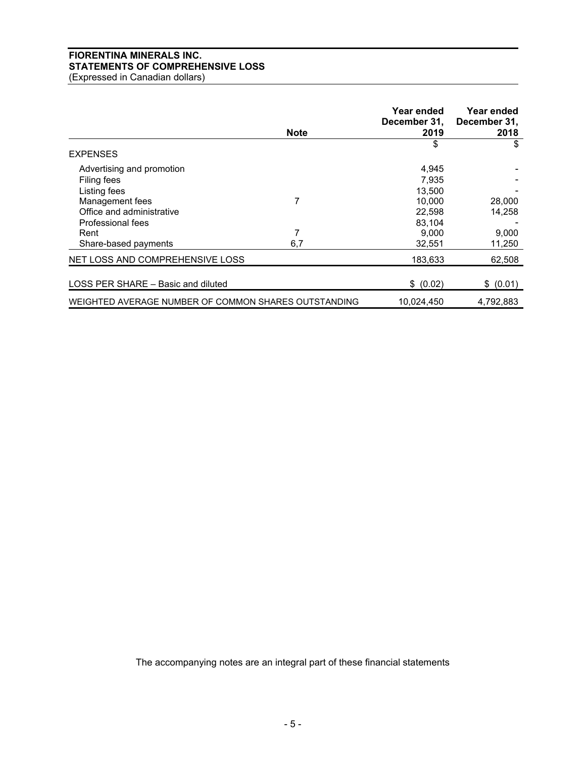# **FIORENTINA MINERALS INC. STATEMENTS OF COMPREHENSIVE LOSS**

(Expressed in Canadian dollars)

|                                                      | <b>Note</b> | Year ended<br>December 31,<br>2019 | Year ended<br>December 31,<br>2018 |
|------------------------------------------------------|-------------|------------------------------------|------------------------------------|
|                                                      |             | \$                                 | \$                                 |
| <b>EXPENSES</b>                                      |             |                                    |                                    |
| Advertising and promotion                            |             | 4,945                              |                                    |
| Filing fees                                          |             | 7,935                              |                                    |
| Listing fees                                         |             | 13,500                             |                                    |
| Management fees                                      | 7           | 10,000                             | 28,000                             |
| Office and administrative                            |             | 22,598                             | 14,258                             |
| Professional fees                                    |             | 83,104                             |                                    |
| Rent                                                 | 7           | 9,000                              | 9,000                              |
| Share-based payments                                 | 6,7         | 32,551                             | 11,250                             |
| NET LOSS AND COMPREHENSIVE LOSS                      |             | 183.633                            | 62,508                             |
|                                                      |             |                                    |                                    |
| LOSS PER SHARE - Basic and diluted                   |             | \$ (0.02)                          | \$ (0.01)                          |
| WEIGHTED AVERAGE NUMBER OF COMMON SHARES OUTSTANDING |             | 10,024,450                         | 4,792,883                          |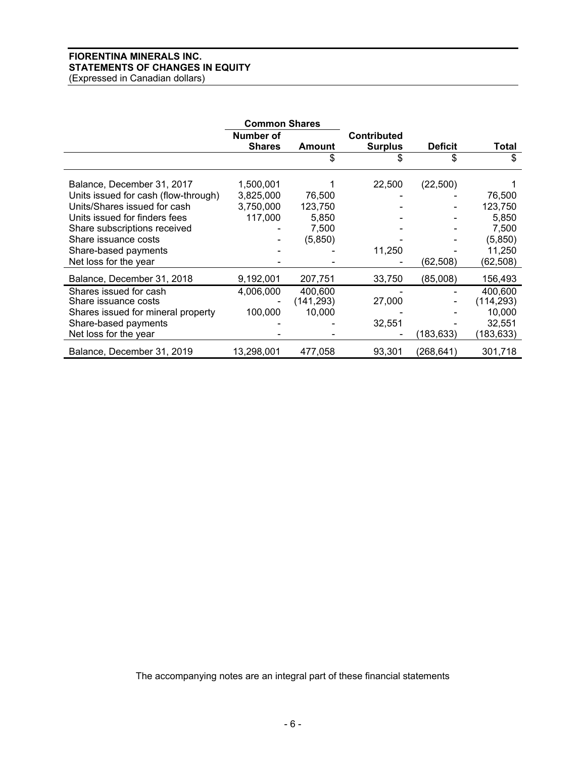### **FIORENTINA MINERALS INC. STATEMENTS OF CHANGES IN EQUITY**  (Expressed in Canadian dollars)

|                                      | <b>Common Shares</b> |            |                |                |            |
|--------------------------------------|----------------------|------------|----------------|----------------|------------|
|                                      | <b>Number of</b>     |            | Contributed    |                |            |
|                                      | <b>Shares</b>        | Amount     | <b>Surplus</b> | <b>Deficit</b> | Total      |
|                                      |                      |            |                | \$             | \$         |
| Balance, December 31, 2017           | 1,500,001            |            | 22,500         | (22, 500)      |            |
| Units issued for cash (flow-through) | 3,825,000            | 76,500     |                |                | 76,500     |
| Units/Shares issued for cash         | 3,750,000            | 123,750    |                |                | 123.750    |
| Units issued for finders fees        | 117,000              | 5,850      |                |                | 5,850      |
| Share subscriptions received         |                      | 7,500      |                |                | 7,500      |
| Share issuance costs                 |                      | (5,850)    |                |                | (5,850)    |
| Share-based payments                 |                      |            | 11,250         |                | 11,250     |
| Net loss for the year                |                      |            |                | (62,508)       | (62,508)   |
| Balance, December 31, 2018           | 9,192,001            | 207,751    | 33,750         | (85,008)       | 156,493    |
| Shares issued for cash               | 4,006,000            | 400,600    |                |                | 400,600    |
| Share issuance costs                 |                      | (141, 293) | 27,000         |                | (114, 293) |
| Shares issued for mineral property   | 100,000              | 10,000     |                |                | 10,000     |
| Share-based payments                 |                      |            | 32,551         |                | 32,551     |
| Net loss for the year                |                      |            |                | (183,633)      | (183,633)  |
| Balance, December 31, 2019           | 13,298,001           | 477,058    | 93,301         | (268,641)      | 301,718    |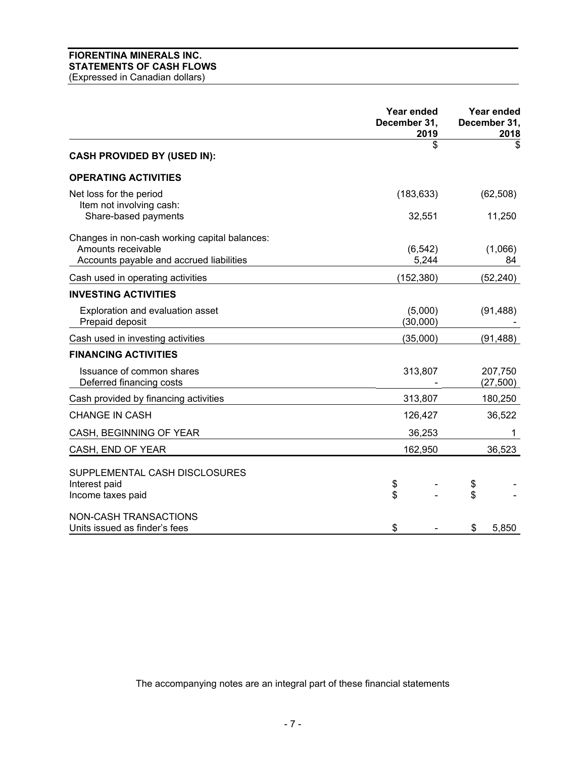# **FIORENTINA MINERALS INC. STATEMENTS OF CASH FLOWS**

(Expressed in Canadian dollars)

|                                                                                                                 | Year ended<br>December 31,<br>2019 |          | Year ended<br>December 31,<br>2018 |
|-----------------------------------------------------------------------------------------------------------------|------------------------------------|----------|------------------------------------|
| <b>CASH PROVIDED BY (USED IN):</b>                                                                              | \$                                 |          | \$                                 |
|                                                                                                                 |                                    |          |                                    |
| <b>OPERATING ACTIVITIES</b>                                                                                     |                                    |          |                                    |
| Net loss for the period<br>Item not involving cash:                                                             | (183, 633)                         |          | (62, 508)                          |
| Share-based payments                                                                                            | 32,551                             |          | 11,250                             |
| Changes in non-cash working capital balances:<br>Amounts receivable<br>Accounts payable and accrued liabilities | (6, 542)<br>5,244                  |          | (1,066)<br>84                      |
| Cash used in operating activities                                                                               | (152, 380)                         |          | (52, 240)                          |
| <b>INVESTING ACTIVITIES</b>                                                                                     |                                    |          |                                    |
| Exploration and evaluation asset<br>Prepaid deposit                                                             | (5,000)<br>(30,000)                |          | (91, 488)                          |
| Cash used in investing activities                                                                               | (35,000)                           |          | (91,488)                           |
| <b>FINANCING ACTIVITIES</b>                                                                                     |                                    |          |                                    |
| Issuance of common shares<br>Deferred financing costs                                                           | 313,807                            |          | 207,750<br>(27, 500)               |
| Cash provided by financing activities                                                                           | 313,807                            |          | 180,250                            |
| <b>CHANGE IN CASH</b>                                                                                           | 126,427                            |          | 36,522                             |
| CASH, BEGINNING OF YEAR                                                                                         | 36,253                             |          | 1.                                 |
| CASH, END OF YEAR                                                                                               | 162,950                            |          | 36,523                             |
| SUPPLEMENTAL CASH DISCLOSURES<br>Interest paid<br>Income taxes paid                                             | \$<br>\$                           | \$<br>\$ |                                    |
| <b>NON-CASH TRANSACTIONS</b><br>Units issued as finder's fees                                                   | \$                                 | \$       | 5,850                              |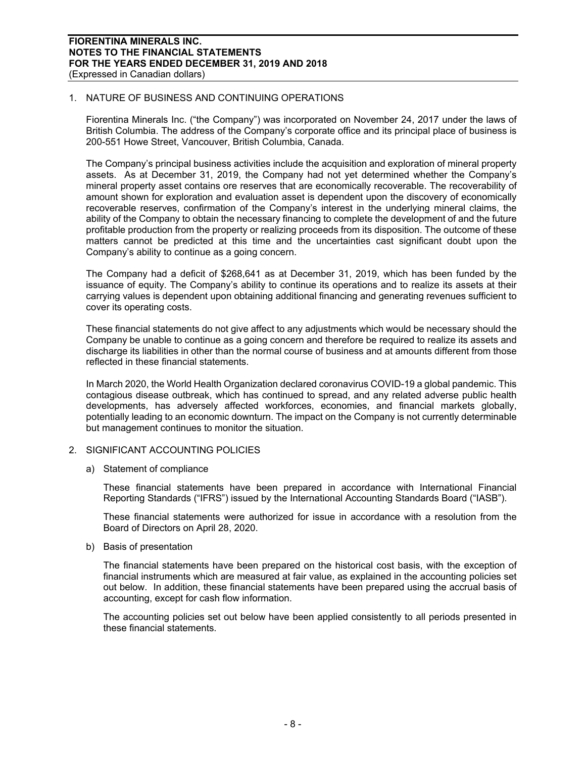## 1. NATURE OF BUSINESS AND CONTINUING OPERATIONS

Fiorentina Minerals Inc. ("the Company") was incorporated on November 24, 2017 under the laws of British Columbia. The address of the Company's corporate office and its principal place of business is 200-551 Howe Street, Vancouver, British Columbia, Canada.

The Company's principal business activities include the acquisition and exploration of mineral property assets. As at December 31, 2019, the Company had not yet determined whether the Company's mineral property asset contains ore reserves that are economically recoverable. The recoverability of amount shown for exploration and evaluation asset is dependent upon the discovery of economically recoverable reserves, confirmation of the Company's interest in the underlying mineral claims, the ability of the Company to obtain the necessary financing to complete the development of and the future profitable production from the property or realizing proceeds from its disposition. The outcome of these matters cannot be predicted at this time and the uncertainties cast significant doubt upon the Company's ability to continue as a going concern.

The Company had a deficit of \$268,641 as at December 31, 2019, which has been funded by the issuance of equity. The Company's ability to continue its operations and to realize its assets at their carrying values is dependent upon obtaining additional financing and generating revenues sufficient to cover its operating costs.

These financial statements do not give affect to any adjustments which would be necessary should the Company be unable to continue as a going concern and therefore be required to realize its assets and discharge its liabilities in other than the normal course of business and at amounts different from those reflected in these financial statements.

In March 2020, the World Health Organization declared coronavirus COVID-19 a global pandemic. This contagious disease outbreak, which has continued to spread, and any related adverse public health developments, has adversely affected workforces, economies, and financial markets globally, potentially leading to an economic downturn. The impact on the Company is not currently determinable but management continues to monitor the situation.

#### 2. SIGNIFICANT ACCOUNTING POLICIES

a) Statement of compliance

These financial statements have been prepared in accordance with International Financial Reporting Standards ("IFRS") issued by the International Accounting Standards Board ("IASB").

These financial statements were authorized for issue in accordance with a resolution from the Board of Directors on April 28, 2020.

#### b) Basis of presentation

The financial statements have been prepared on the historical cost basis, with the exception of financial instruments which are measured at fair value, as explained in the accounting policies set out below. In addition, these financial statements have been prepared using the accrual basis of accounting, except for cash flow information.

The accounting policies set out below have been applied consistently to all periods presented in these financial statements.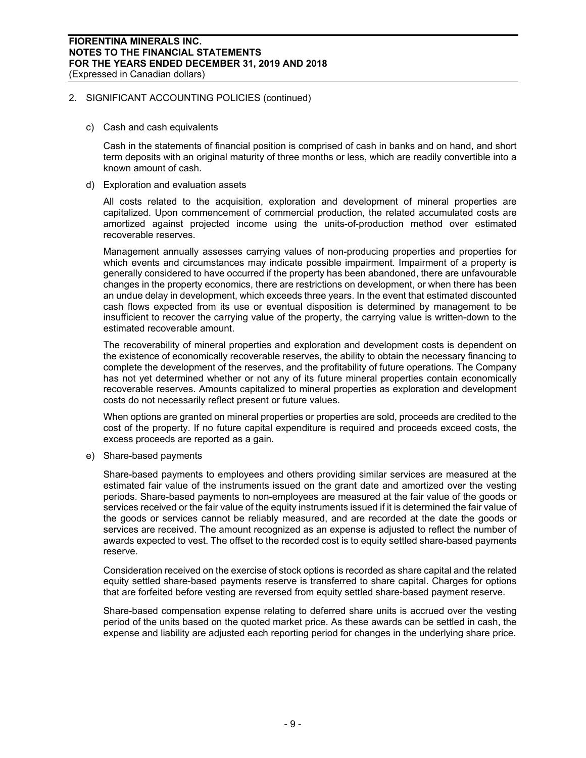c) Cash and cash equivalents

Cash in the statements of financial position is comprised of cash in banks and on hand, and short term deposits with an original maturity of three months or less, which are readily convertible into a known amount of cash.

d) Exploration and evaluation assets

All costs related to the acquisition, exploration and development of mineral properties are capitalized. Upon commencement of commercial production, the related accumulated costs are amortized against projected income using the units-of-production method over estimated recoverable reserves.

Management annually assesses carrying values of non-producing properties and properties for which events and circumstances may indicate possible impairment. Impairment of a property is generally considered to have occurred if the property has been abandoned, there are unfavourable changes in the property economics, there are restrictions on development, or when there has been an undue delay in development, which exceeds three years. In the event that estimated discounted cash flows expected from its use or eventual disposition is determined by management to be insufficient to recover the carrying value of the property, the carrying value is written-down to the estimated recoverable amount.

The recoverability of mineral properties and exploration and development costs is dependent on the existence of economically recoverable reserves, the ability to obtain the necessary financing to complete the development of the reserves, and the profitability of future operations. The Company has not yet determined whether or not any of its future mineral properties contain economically recoverable reserves. Amounts capitalized to mineral properties as exploration and development costs do not necessarily reflect present or future values.

When options are granted on mineral properties or properties are sold, proceeds are credited to the cost of the property. If no future capital expenditure is required and proceeds exceed costs, the excess proceeds are reported as a gain.

e) Share-based payments

Share-based payments to employees and others providing similar services are measured at the estimated fair value of the instruments issued on the grant date and amortized over the vesting periods. Share-based payments to non-employees are measured at the fair value of the goods or services received or the fair value of the equity instruments issued if it is determined the fair value of the goods or services cannot be reliably measured, and are recorded at the date the goods or services are received. The amount recognized as an expense is adjusted to reflect the number of awards expected to vest. The offset to the recorded cost is to equity settled share-based payments reserve.

Consideration received on the exercise of stock options is recorded as share capital and the related equity settled share-based payments reserve is transferred to share capital. Charges for options that are forfeited before vesting are reversed from equity settled share-based payment reserve.

Share-based compensation expense relating to deferred share units is accrued over the vesting period of the units based on the quoted market price. As these awards can be settled in cash, the expense and liability are adjusted each reporting period for changes in the underlying share price.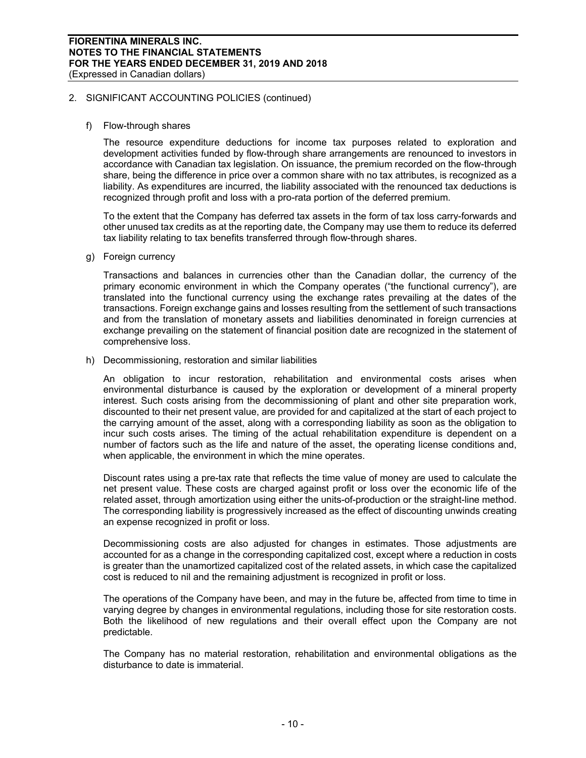f) Flow-through shares

The resource expenditure deductions for income tax purposes related to exploration and development activities funded by flow-through share arrangements are renounced to investors in accordance with Canadian tax legislation. On issuance, the premium recorded on the flow-through share, being the difference in price over a common share with no tax attributes, is recognized as a liability. As expenditures are incurred, the liability associated with the renounced tax deductions is recognized through profit and loss with a pro-rata portion of the deferred premium.

To the extent that the Company has deferred tax assets in the form of tax loss carry-forwards and other unused tax credits as at the reporting date, the Company may use them to reduce its deferred tax liability relating to tax benefits transferred through flow-through shares.

g) Foreign currency

Transactions and balances in currencies other than the Canadian dollar, the currency of the primary economic environment in which the Company operates ("the functional currency"), are translated into the functional currency using the exchange rates prevailing at the dates of the transactions. Foreign exchange gains and losses resulting from the settlement of such transactions and from the translation of monetary assets and liabilities denominated in foreign currencies at exchange prevailing on the statement of financial position date are recognized in the statement of comprehensive loss.

h) Decommissioning, restoration and similar liabilities

An obligation to incur restoration, rehabilitation and environmental costs arises when environmental disturbance is caused by the exploration or development of a mineral property interest. Such costs arising from the decommissioning of plant and other site preparation work, discounted to their net present value, are provided for and capitalized at the start of each project to the carrying amount of the asset, along with a corresponding liability as soon as the obligation to incur such costs arises. The timing of the actual rehabilitation expenditure is dependent on a number of factors such as the life and nature of the asset, the operating license conditions and, when applicable, the environment in which the mine operates.

Discount rates using a pre-tax rate that reflects the time value of money are used to calculate the net present value. These costs are charged against profit or loss over the economic life of the related asset, through amortization using either the units-of-production or the straight-line method. The corresponding liability is progressively increased as the effect of discounting unwinds creating an expense recognized in profit or loss.

Decommissioning costs are also adjusted for changes in estimates. Those adjustments are accounted for as a change in the corresponding capitalized cost, except where a reduction in costs is greater than the unamortized capitalized cost of the related assets, in which case the capitalized cost is reduced to nil and the remaining adjustment is recognized in profit or loss.

The operations of the Company have been, and may in the future be, affected from time to time in varying degree by changes in environmental regulations, including those for site restoration costs. Both the likelihood of new regulations and their overall effect upon the Company are not predictable.

The Company has no material restoration, rehabilitation and environmental obligations as the disturbance to date is immaterial.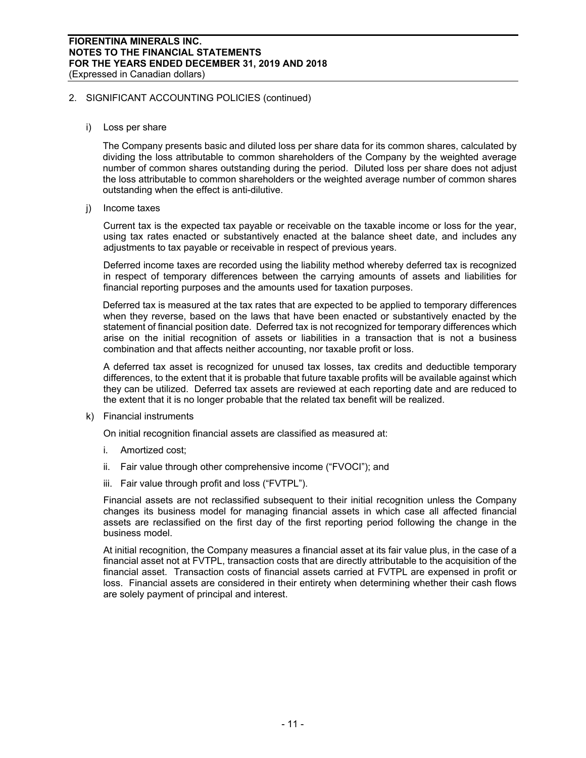i) Loss per share

 The Company presents basic and diluted loss per share data for its common shares, calculated by dividing the loss attributable to common shareholders of the Company by the weighted average number of common shares outstanding during the period. Diluted loss per share does not adjust the loss attributable to common shareholders or the weighted average number of common shares outstanding when the effect is anti-dilutive.

j) Income taxes

 Current tax is the expected tax payable or receivable on the taxable income or loss for the year, using tax rates enacted or substantively enacted at the balance sheet date, and includes any adjustments to tax payable or receivable in respect of previous years.

 Deferred income taxes are recorded using the liability method whereby deferred tax is recognized in respect of temporary differences between the carrying amounts of assets and liabilities for financial reporting purposes and the amounts used for taxation purposes.

 Deferred tax is measured at the tax rates that are expected to be applied to temporary differences when they reverse, based on the laws that have been enacted or substantively enacted by the statement of financial position date. Deferred tax is not recognized for temporary differences which arise on the initial recognition of assets or liabilities in a transaction that is not a business combination and that affects neither accounting, nor taxable profit or loss.

 A deferred tax asset is recognized for unused tax losses, tax credits and deductible temporary differences, to the extent that it is probable that future taxable profits will be available against which they can be utilized. Deferred tax assets are reviewed at each reporting date and are reduced to the extent that it is no longer probable that the related tax benefit will be realized.

k) Financial instruments

On initial recognition financial assets are classified as measured at:

- i. Amortized cost;
- ii. Fair value through other comprehensive income ("FVOCI"); and
- iii. Fair value through profit and loss ("FVTPL").

Financial assets are not reclassified subsequent to their initial recognition unless the Company changes its business model for managing financial assets in which case all affected financial assets are reclassified on the first day of the first reporting period following the change in the business model.

At initial recognition, the Company measures a financial asset at its fair value plus, in the case of a financial asset not at FVTPL, transaction costs that are directly attributable to the acquisition of the financial asset. Transaction costs of financial assets carried at FVTPL are expensed in profit or loss. Financial assets are considered in their entirety when determining whether their cash flows are solely payment of principal and interest.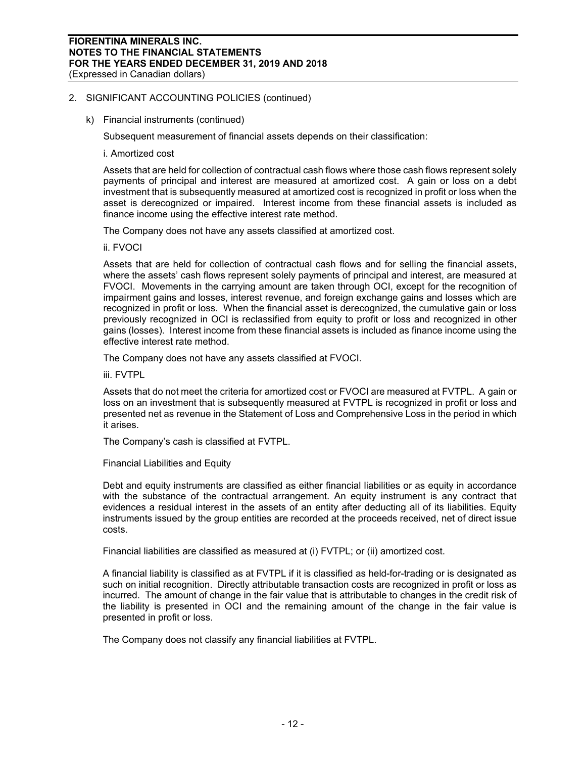# **FIORENTINA MINERALS INC. NOTES TO THE FINANCIAL STATEMENTS FOR THE YEARS ENDED DECEMBER 31, 2019 AND 2018**

(Expressed in Canadian dollars)

## 2. SIGNIFICANT ACCOUNTING POLICIES (continued)

k) Financial instruments (continued)

Subsequent measurement of financial assets depends on their classification:

i. Amortized cost

Assets that are held for collection of contractual cash flows where those cash flows represent solely payments of principal and interest are measured at amortized cost. A gain or loss on a debt investment that is subsequently measured at amortized cost is recognized in profit or loss when the asset is derecognized or impaired. Interest income from these financial assets is included as finance income using the effective interest rate method.

The Company does not have any assets classified at amortized cost.

ii. FVOCI

Assets that are held for collection of contractual cash flows and for selling the financial assets, where the assets' cash flows represent solely payments of principal and interest, are measured at FVOCI. Movements in the carrying amount are taken through OCI, except for the recognition of impairment gains and losses, interest revenue, and foreign exchange gains and losses which are recognized in profit or loss. When the financial asset is derecognized, the cumulative gain or loss previously recognized in OCI is reclassified from equity to profit or loss and recognized in other gains (losses). Interest income from these financial assets is included as finance income using the effective interest rate method.

The Company does not have any assets classified at FVOCI.

iii. FVTPL

Assets that do not meet the criteria for amortized cost or FVOCI are measured at FVTPL. A gain or loss on an investment that is subsequently measured at FVTPL is recognized in profit or loss and presented net as revenue in the Statement of Loss and Comprehensive Loss in the period in which it arises.

The Company's cash is classified at FVTPL.

Financial Liabilities and Equity

Debt and equity instruments are classified as either financial liabilities or as equity in accordance with the substance of the contractual arrangement. An equity instrument is any contract that evidences a residual interest in the assets of an entity after deducting all of its liabilities. Equity instruments issued by the group entities are recorded at the proceeds received, net of direct issue costs.

Financial liabilities are classified as measured at (i) FVTPL; or (ii) amortized cost.

A financial liability is classified as at FVTPL if it is classified as held-for-trading or is designated as such on initial recognition. Directly attributable transaction costs are recognized in profit or loss as incurred. The amount of change in the fair value that is attributable to changes in the credit risk of the liability is presented in OCI and the remaining amount of the change in the fair value is presented in profit or loss.

The Company does not classify any financial liabilities at FVTPL.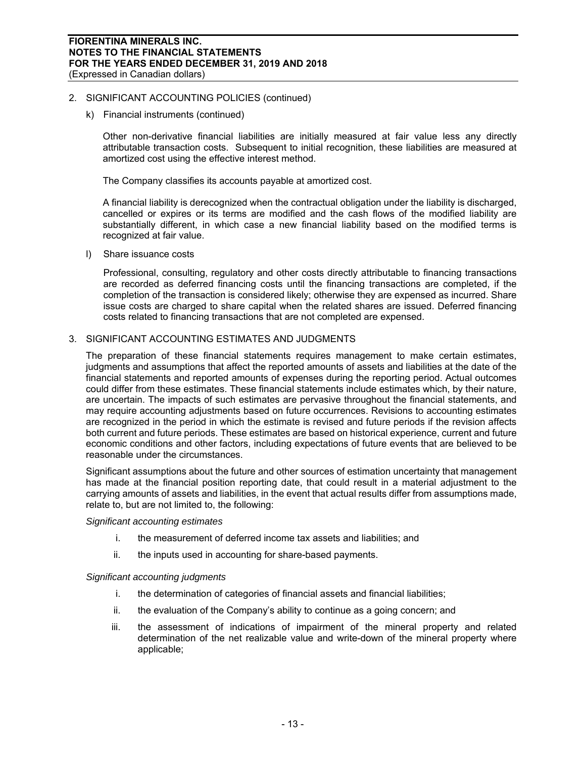k) Financial instruments (continued)

Other non-derivative financial liabilities are initially measured at fair value less any directly attributable transaction costs. Subsequent to initial recognition, these liabilities are measured at amortized cost using the effective interest method.

The Company classifies its accounts payable at amortized cost.

A financial liability is derecognized when the contractual obligation under the liability is discharged, cancelled or expires or its terms are modified and the cash flows of the modified liability are substantially different, in which case a new financial liability based on the modified terms is recognized at fair value.

l) Share issuance costs

Professional, consulting, regulatory and other costs directly attributable to financing transactions are recorded as deferred financing costs until the financing transactions are completed, if the completion of the transaction is considered likely; otherwise they are expensed as incurred. Share issue costs are charged to share capital when the related shares are issued. Deferred financing costs related to financing transactions that are not completed are expensed.

## 3. SIGNIFICANT ACCOUNTING ESTIMATES AND JUDGMENTS

The preparation of these financial statements requires management to make certain estimates, judgments and assumptions that affect the reported amounts of assets and liabilities at the date of the financial statements and reported amounts of expenses during the reporting period. Actual outcomes could differ from these estimates. These financial statements include estimates which, by their nature, are uncertain. The impacts of such estimates are pervasive throughout the financial statements, and may require accounting adjustments based on future occurrences. Revisions to accounting estimates are recognized in the period in which the estimate is revised and future periods if the revision affects both current and future periods. These estimates are based on historical experience, current and future economic conditions and other factors, including expectations of future events that are believed to be reasonable under the circumstances.

Significant assumptions about the future and other sources of estimation uncertainty that management has made at the financial position reporting date, that could result in a material adjustment to the carrying amounts of assets and liabilities, in the event that actual results differ from assumptions made, relate to, but are not limited to, the following:

### *Significant accounting estimates*

- i. the measurement of deferred income tax assets and liabilities; and
- ii. the inputs used in accounting for share-based payments.

#### *Significant accounting judgments*

- i. the determination of categories of financial assets and financial liabilities;
- ii. the evaluation of the Company's ability to continue as a going concern; and
- iii. the assessment of indications of impairment of the mineral property and related determination of the net realizable value and write-down of the mineral property where applicable;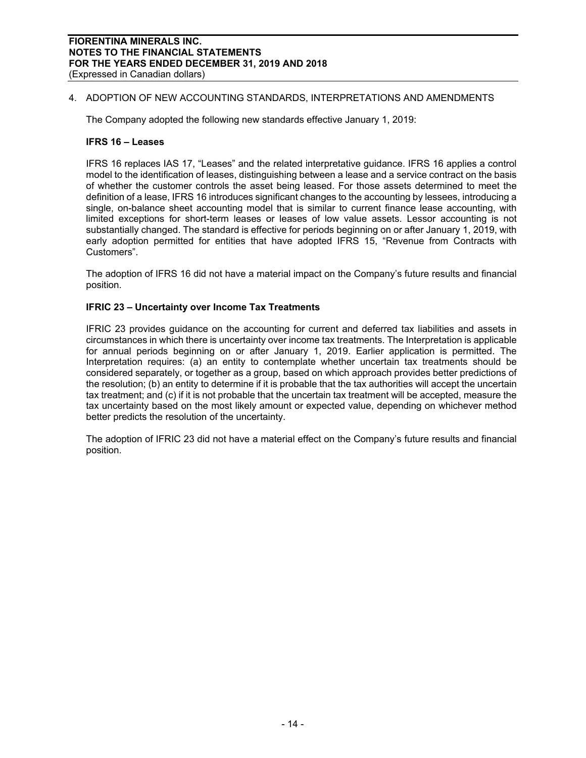## 4. ADOPTION OF NEW ACCOUNTING STANDARDS, INTERPRETATIONS AND AMENDMENTS

The Company adopted the following new standards effective January 1, 2019:

#### **IFRS 16 – Leases**

IFRS 16 replaces IAS 17, "Leases" and the related interpretative guidance. IFRS 16 applies a control model to the identification of leases, distinguishing between a lease and a service contract on the basis of whether the customer controls the asset being leased. For those assets determined to meet the definition of a lease, IFRS 16 introduces significant changes to the accounting by lessees, introducing a single, on-balance sheet accounting model that is similar to current finance lease accounting, with limited exceptions for short-term leases or leases of low value assets. Lessor accounting is not substantially changed. The standard is effective for periods beginning on or after January 1, 2019, with early adoption permitted for entities that have adopted IFRS 15, "Revenue from Contracts with Customers".

The adoption of IFRS 16 did not have a material impact on the Company's future results and financial position.

#### **IFRIC 23 – Uncertainty over Income Tax Treatments**

IFRIC 23 provides guidance on the accounting for current and deferred tax liabilities and assets in circumstances in which there is uncertainty over income tax treatments. The Interpretation is applicable for annual periods beginning on or after January 1, 2019. Earlier application is permitted. The Interpretation requires: (a) an entity to contemplate whether uncertain tax treatments should be considered separately, or together as a group, based on which approach provides better predictions of the resolution; (b) an entity to determine if it is probable that the tax authorities will accept the uncertain tax treatment; and (c) if it is not probable that the uncertain tax treatment will be accepted, measure the tax uncertainty based on the most likely amount or expected value, depending on whichever method better predicts the resolution of the uncertainty.

The adoption of IFRIC 23 did not have a material effect on the Company's future results and financial position.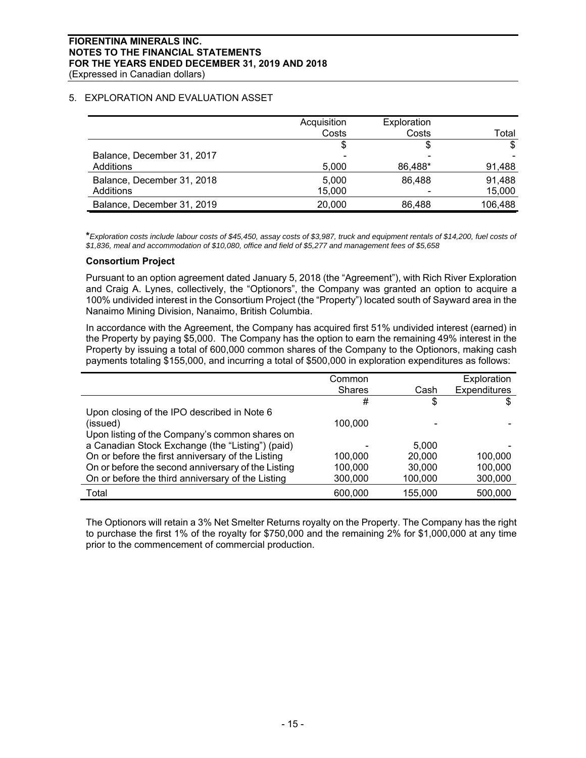## 5. EXPLORATION AND EVALUATION ASSET

|                            | Acquisition<br>Costs     | Exploration<br>Costs | Total   |
|----------------------------|--------------------------|----------------------|---------|
|                            | \$                       | S                    | \$      |
| Balance, December 31, 2017 | $\overline{\phantom{0}}$ |                      |         |
| Additions                  | 5,000                    | 86,488*              | 91,488  |
| Balance, December 31, 2018 | 5.000                    | 86.488               | 91,488  |
| Additions                  | 15,000                   |                      | 15,000  |
| Balance, December 31, 2019 | 20,000                   | 86.488               | 106,488 |

**\****Exploration costs include labour costs of \$45,450, assay costs of \$3,987, truck and equipment rentals of \$14,200, fuel costs of \$1,836, meal and accommodation of \$10,080, office and field of \$5,277 and management fees of \$5,658* 

#### **Consortium Project**

Pursuant to an option agreement dated January 5, 2018 (the "Agreement"), with Rich River Exploration and Craig A. Lynes, collectively, the "Optionors", the Company was granted an option to acquire a 100% undivided interest in the Consortium Project (the "Property") located south of Sayward area in the Nanaimo Mining Division, Nanaimo, British Columbia.

In accordance with the Agreement, the Company has acquired first 51% undivided interest (earned) in the Property by paying \$5,000. The Company has the option to earn the remaining 49% interest in the Property by issuing a total of 600,000 common shares of the Company to the Optionors, making cash payments totaling \$155,000, and incurring a total of \$500,000 in exploration expenditures as follows:

|                                                    | Common        |         | Exploration         |
|----------------------------------------------------|---------------|---------|---------------------|
|                                                    | <b>Shares</b> | Cash    | <b>Expenditures</b> |
|                                                    | #             | \$      |                     |
| Upon closing of the IPO described in Note 6        |               |         |                     |
| (issued)                                           | 100,000       |         |                     |
| Upon listing of the Company's common shares on     |               |         |                     |
| a Canadian Stock Exchange (the "Listing") (paid)   |               | 5.000   |                     |
| On or before the first anniversary of the Listing  | 100,000       | 20,000  | 100.000             |
| On or before the second anniversary of the Listing | 100,000       | 30,000  | 100.000             |
| On or before the third anniversary of the Listing  | 300,000       | 100,000 | 300,000             |
| Total                                              | 600,000       | 155,000 | 500,000             |

The Optionors will retain a 3% Net Smelter Returns royalty on the Property. The Company has the right to purchase the first 1% of the royalty for \$750,000 and the remaining 2% for \$1,000,000 at any time prior to the commencement of commercial production.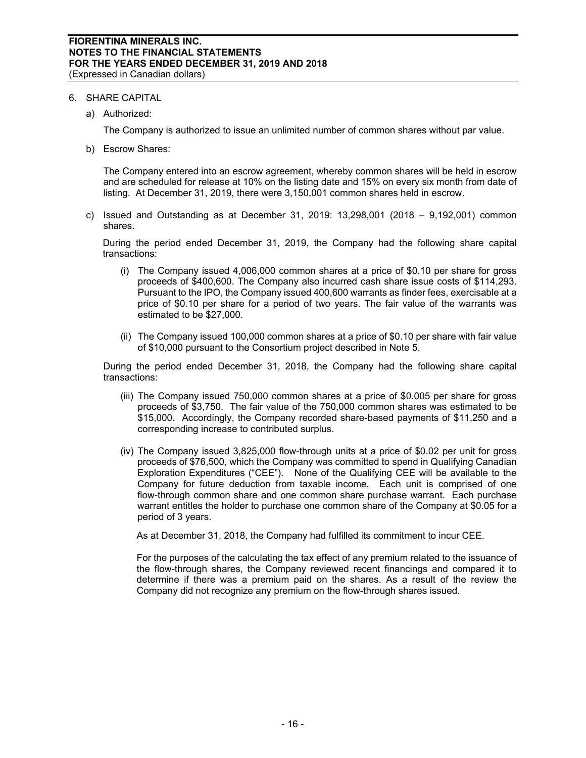- 6. SHARE CAPITAL
	- a) Authorized:

The Company is authorized to issue an unlimited number of common shares without par value.

b) Escrow Shares:

The Company entered into an escrow agreement, whereby common shares will be held in escrow and are scheduled for release at 10% on the listing date and 15% on every six month from date of listing. At December 31, 2019, there were 3,150,001 common shares held in escrow.

c) Issued and Outstanding as at December 31, 2019: 13,298,001 (2018 – 9,192,001) common shares.

During the period ended December 31, 2019, the Company had the following share capital transactions:

- (i) The Company issued 4,006,000 common shares at a price of \$0.10 per share for gross proceeds of \$400,600. The Company also incurred cash share issue costs of \$114,293. Pursuant to the IPO, the Company issued 400,600 warrants as finder fees, exercisable at a price of \$0.10 per share for a period of two years. The fair value of the warrants was estimated to be \$27,000.
- (ii) The Company issued 100,000 common shares at a price of \$0.10 per share with fair value of \$10,000 pursuant to the Consortium project described in Note 5.

During the period ended December 31, 2018, the Company had the following share capital transactions:

- (iii) The Company issued 750,000 common shares at a price of \$0.005 per share for gross proceeds of \$3,750. The fair value of the 750,000 common shares was estimated to be \$15,000. Accordingly, the Company recorded share-based payments of \$11,250 and a corresponding increase to contributed surplus.
- (iv) The Company issued 3,825,000 flow-through units at a price of \$0.02 per unit for gross proceeds of \$76,500, which the Company was committed to spend in Qualifying Canadian Exploration Expenditures ("CEE"). None of the Qualifying CEE will be available to the Company for future deduction from taxable income. Each unit is comprised of one flow-through common share and one common share purchase warrant. Each purchase warrant entitles the holder to purchase one common share of the Company at \$0.05 for a period of 3 years.

As at December 31, 2018, the Company had fulfilled its commitment to incur CEE.

For the purposes of the calculating the tax effect of any premium related to the issuance of the flow-through shares, the Company reviewed recent financings and compared it to determine if there was a premium paid on the shares. As a result of the review the Company did not recognize any premium on the flow-through shares issued.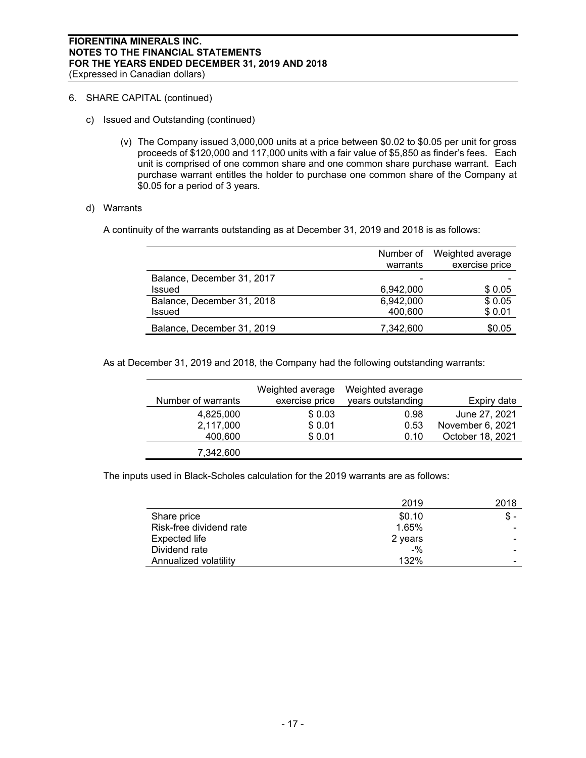## 6. SHARE CAPITAL (continued)

- c) Issued and Outstanding (continued)
	- (v) The Company issued 3,000,000 units at a price between \$0.02 to \$0.05 per unit for gross proceeds of \$120,000 and 117,000 units with a fair value of \$5,850 as finder's fees. Each unit is comprised of one common share and one common share purchase warrant. Each purchase warrant entitles the holder to purchase one common share of the Company at \$0.05 for a period of 3 years.

## d) Warrants

A continuity of the warrants outstanding as at December 31, 2019 and 2018 is as follows:

|                            | Number of<br>warrants | Weighted average<br>exercise price |
|----------------------------|-----------------------|------------------------------------|
| Balance, December 31, 2017 |                       |                                    |
| <b>Issued</b>              | 6,942,000             | \$0.05                             |
| Balance, December 31, 2018 | 6,942,000             | \$0.05                             |
| Issued                     | 400,600               | \$0.01                             |
| Balance, December 31, 2019 | 7,342,600             | \$0.05                             |

As at December 31, 2019 and 2018, the Company had the following outstanding warrants:

| Number of warrants | Weighted average<br>exercise price | Weighted average<br>years outstanding | Expiry date      |
|--------------------|------------------------------------|---------------------------------------|------------------|
| 4,825,000          | \$0.03                             | 0.98                                  | June 27, 2021    |
| 2,117,000          | \$0.01                             | 0.53                                  | November 6, 2021 |
| 400,600            | \$0.01                             | 0.10                                  | October 18, 2021 |
| 7,342,600          |                                    |                                       |                  |

The inputs used in Black-Scholes calculation for the 2019 warrants are as follows:

|                         | 2019    | 2018 |
|-------------------------|---------|------|
| Share price             | \$0.10  | Տ. - |
| Risk-free dividend rate | 1.65%   |      |
| Expected life           | 2 years |      |
| Dividend rate           | -%      |      |
| Annualized volatility   | 132%    |      |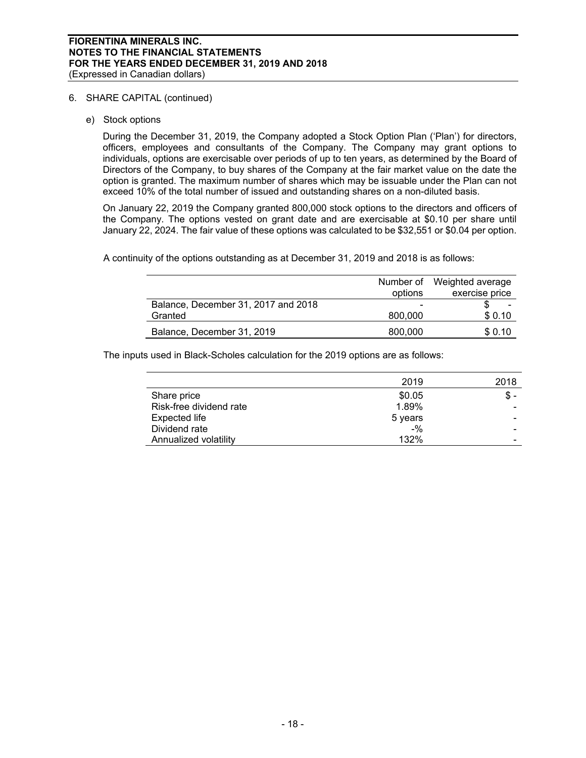6. SHARE CAPITAL (continued)

e) Stock options

During the December 31, 2019, the Company adopted a Stock Option Plan ('Plan') for directors, officers, employees and consultants of the Company. The Company may grant options to individuals, options are exercisable over periods of up to ten years, as determined by the Board of Directors of the Company, to buy shares of the Company at the fair market value on the date the option is granted. The maximum number of shares which may be issuable under the Plan can not exceed 10% of the total number of issued and outstanding shares on a non-diluted basis.

On January 22, 2019 the Company granted 800,000 stock options to the directors and officers of the Company. The options vested on grant date and are exercisable at \$0.10 per share until January 22, 2024. The fair value of these options was calculated to be \$32,551 or \$0.04 per option.

A continuity of the options outstanding as at December 31, 2019 and 2018 is as follows:

|                                     |         | Number of Weighted average |
|-------------------------------------|---------|----------------------------|
|                                     | options | exercise price             |
| Balance, December 31, 2017 and 2018 | -       |                            |
| Granted                             | 800,000 | \$0.10                     |
| Balance, December 31, 2019          | 800,000 | \$0.10                     |

The inputs used in Black-Scholes calculation for the 2019 options are as follows:

|                         | 2019    | 2018                     |
|-------------------------|---------|--------------------------|
| Share price             | \$0.05  | Տ. -                     |
| Risk-free dividend rate | 1.89%   | $\,$                     |
| Expected life           | 5 years | $\overline{\phantom{0}}$ |
| Dividend rate           | -%      |                          |
| Annualized volatility   | 132%    | -                        |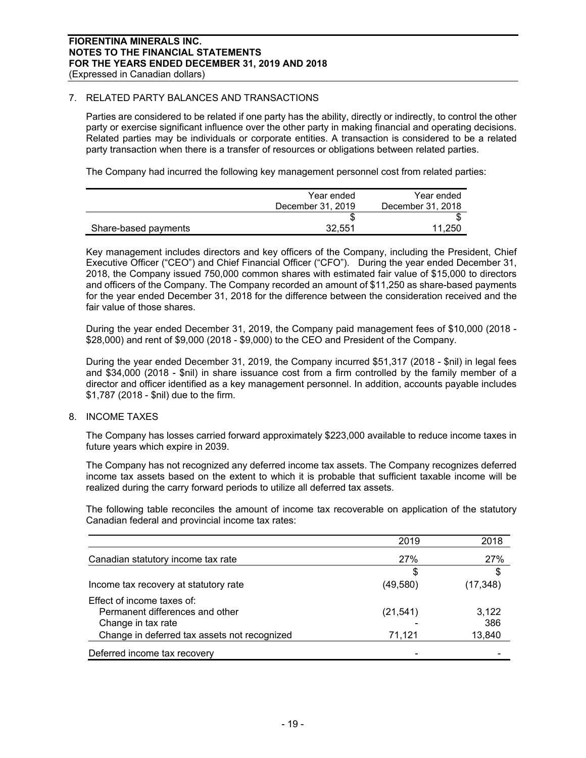### 7. RELATED PARTY BALANCES AND TRANSACTIONS

Parties are considered to be related if one party has the ability, directly or indirectly, to control the other party or exercise significant influence over the other party in making financial and operating decisions. Related parties may be individuals or corporate entities. A transaction is considered to be a related party transaction when there is a transfer of resources or obligations between related parties.

The Company had incurred the following key management personnel cost from related parties:

|                      | Year ended        | Year ended        |
|----------------------|-------------------|-------------------|
|                      | December 31, 2019 | December 31, 2018 |
|                      |                   |                   |
| Share-based payments | 32.551            | 11,250            |

Key management includes directors and key officers of the Company, including the President, Chief Executive Officer ("CEO") and Chief Financial Officer ("CFO"). During the year ended December 31, 2018, the Company issued 750,000 common shares with estimated fair value of \$15,000 to directors and officers of the Company. The Company recorded an amount of \$11,250 as share-based payments for the year ended December 31, 2018 for the difference between the consideration received and the fair value of those shares.

During the year ended December 31, 2019, the Company paid management fees of \$10,000 (2018 - \$28,000) and rent of \$9,000 (2018 - \$9,000) to the CEO and President of the Company.

During the year ended December 31, 2019, the Company incurred \$51,317 (2018 - \$nil) in legal fees and \$34,000 (2018 - \$nil) in share issuance cost from a firm controlled by the family member of a director and officer identified as a key management personnel. In addition, accounts payable includes \$1,787 (2018 - \$nil) due to the firm.

#### 8. INCOME TAXES

The Company has losses carried forward approximately \$223,000 available to reduce income taxes in future years which expire in 2039.

The Company has not recognized any deferred income tax assets. The Company recognizes deferred income tax assets based on the extent to which it is probable that sufficient taxable income will be realized during the carry forward periods to utilize all deferred tax assets.

The following table reconciles the amount of income tax recoverable on application of the statutory Canadian federal and provincial income tax rates:

|                                                               | 2019      | 2018       |
|---------------------------------------------------------------|-----------|------------|
| Canadian statutory income tax rate                            | 27%       | <b>27%</b> |
|                                                               | \$        | \$         |
| Income tax recovery at statutory rate                         | (49,580)  | (17, 348)  |
| Effect of income taxes of:<br>Permanent differences and other | (21, 541) | 3,122      |
| Change in tax rate                                            |           | 386        |
| Change in deferred tax assets not recognized                  | 71,121    | 13,840     |
| Deferred income tax recovery                                  |           |            |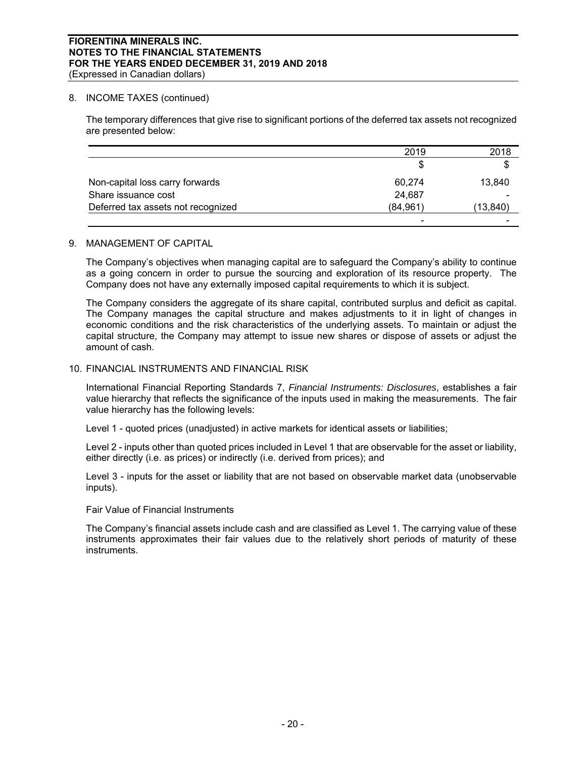#### 8. INCOME TAXES (continued)

The temporary differences that give rise to significant portions of the deferred tax assets not recognized are presented below:

|                                    | 2019      | 2018     |
|------------------------------------|-----------|----------|
|                                    | \$        |          |
| Non-capital loss carry forwards    | 60.274    | 13.840   |
| Share issuance cost                | 24,687    |          |
| Deferred tax assets not recognized | (84, 961) | (13,840) |
|                                    |           |          |

#### 9. MANAGEMENT OF CAPITAL

The Company's objectives when managing capital are to safeguard the Company's ability to continue as a going concern in order to pursue the sourcing and exploration of its resource property. The Company does not have any externally imposed capital requirements to which it is subject.

The Company considers the aggregate of its share capital, contributed surplus and deficit as capital. The Company manages the capital structure and makes adjustments to it in light of changes in economic conditions and the risk characteristics of the underlying assets. To maintain or adjust the capital structure, the Company may attempt to issue new shares or dispose of assets or adjust the amount of cash.

#### 10. FINANCIAL INSTRUMENTS AND FINANCIAL RISK

International Financial Reporting Standards 7, *Financial Instruments: Disclosures*, establishes a fair value hierarchy that reflects the significance of the inputs used in making the measurements. The fair value hierarchy has the following levels:

Level 1 - quoted prices (unadjusted) in active markets for identical assets or liabilities;

Level 2 - inputs other than quoted prices included in Level 1 that are observable for the asset or liability, either directly (i.e. as prices) or indirectly (i.e. derived from prices); and

Level 3 - inputs for the asset or liability that are not based on observable market data (unobservable inputs).

#### Fair Value of Financial Instruments

The Company's financial assets include cash and are classified as Level 1. The carrying value of these instruments approximates their fair values due to the relatively short periods of maturity of these instruments.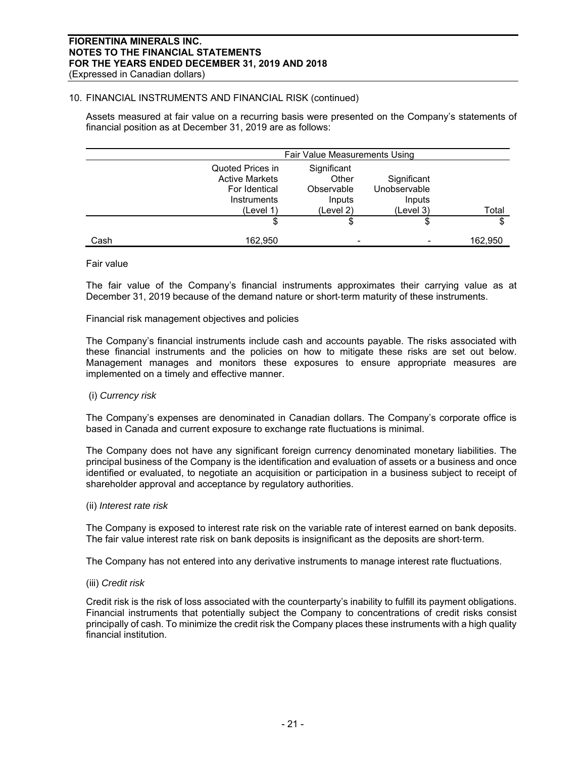#### 10. FINANCIAL INSTRUMENTS AND FINANCIAL RISK (continued)

Assets measured at fair value on a recurring basis were presented on the Company's statements of financial position as at December 31, 2019 are as follows:

|      | Fair Value Measurements Using                                                          |                                                           |                                                    |         |
|------|----------------------------------------------------------------------------------------|-----------------------------------------------------------|----------------------------------------------------|---------|
|      | Quoted Prices in<br><b>Active Markets</b><br>For Identical<br>Instruments<br>(Level 1) | Significant<br>Other<br>Observable<br>Inputs<br>(Level 2) | Significant<br>Unobservable<br>Inputs<br>(Level 3) | Total   |
|      | \$                                                                                     | \$                                                        | \$                                                 | \$      |
| Cash | 162.950                                                                                |                                                           |                                                    | 162.950 |

#### Fair value

The fair value of the Company's financial instruments approximates their carrying value as at December 31, 2019 because of the demand nature or short-term maturity of these instruments.

Financial risk management objectives and policies

The Company's financial instruments include cash and accounts payable. The risks associated with these financial instruments and the policies on how to mitigate these risks are set out below. Management manages and monitors these exposures to ensure appropriate measures are implemented on a timely and effective manner.

#### (i) *Currency risk*

The Company's expenses are denominated in Canadian dollars. The Company's corporate office is based in Canada and current exposure to exchange rate fluctuations is minimal.

The Company does not have any significant foreign currency denominated monetary liabilities. The principal business of the Company is the identification and evaluation of assets or a business and once identified or evaluated, to negotiate an acquisition or participation in a business subject to receipt of shareholder approval and acceptance by regulatory authorities.

#### (ii) *Interest rate risk*

The Company is exposed to interest rate risk on the variable rate of interest earned on bank deposits. The fair value interest rate risk on bank deposits is insignificant as the deposits are short‐term.

The Company has not entered into any derivative instruments to manage interest rate fluctuations.

#### (iii) *Credit risk*

Credit risk is the risk of loss associated with the counterparty's inability to fulfill its payment obligations. Financial instruments that potentially subject the Company to concentrations of credit risks consist principally of cash. To minimize the credit risk the Company places these instruments with a high quality financial institution.